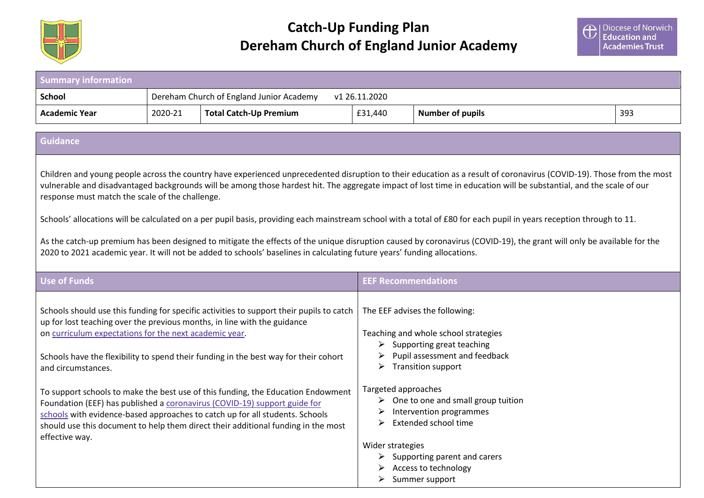

 **Catch-Up Funding Plan Dereham Church of England Junior Academy** 

| <b>Summary information</b>                                                                                                                                                                                                                                                                                                                                                                                                                                                                                                                                           |         |                                                                                                                                                                                                                                                                                                                                                                                                                                                                                                                                                                                                    |                                                        |                                                                                                                                                                                                                                                                                                                                                                                                                    |     |
|----------------------------------------------------------------------------------------------------------------------------------------------------------------------------------------------------------------------------------------------------------------------------------------------------------------------------------------------------------------------------------------------------------------------------------------------------------------------------------------------------------------------------------------------------------------------|---------|----------------------------------------------------------------------------------------------------------------------------------------------------------------------------------------------------------------------------------------------------------------------------------------------------------------------------------------------------------------------------------------------------------------------------------------------------------------------------------------------------------------------------------------------------------------------------------------------------|--------------------------------------------------------|--------------------------------------------------------------------------------------------------------------------------------------------------------------------------------------------------------------------------------------------------------------------------------------------------------------------------------------------------------------------------------------------------------------------|-----|
| <b>School</b>                                                                                                                                                                                                                                                                                                                                                                                                                                                                                                                                                        |         | Dereham Church of England Junior Academy                                                                                                                                                                                                                                                                                                                                                                                                                                                                                                                                                           | v1 26.11.2020                                          |                                                                                                                                                                                                                                                                                                                                                                                                                    |     |
| <b>Academic Year</b>                                                                                                                                                                                                                                                                                                                                                                                                                                                                                                                                                 | 2020-21 | <b>Total Catch-Up Premium</b>                                                                                                                                                                                                                                                                                                                                                                                                                                                                                                                                                                      | £31,440                                                | <b>Number of pupils</b>                                                                                                                                                                                                                                                                                                                                                                                            | 393 |
| <b>Guidance</b>                                                                                                                                                                                                                                                                                                                                                                                                                                                                                                                                                      |         |                                                                                                                                                                                                                                                                                                                                                                                                                                                                                                                                                                                                    |                                                        |                                                                                                                                                                                                                                                                                                                                                                                                                    |     |
|                                                                                                                                                                                                                                                                                                                                                                                                                                                                                                                                                                      |         |                                                                                                                                                                                                                                                                                                                                                                                                                                                                                                                                                                                                    |                                                        |                                                                                                                                                                                                                                                                                                                                                                                                                    |     |
| Children and young people across the country have experienced unprecedented disruption to their education as a result of coronavirus (COVID-19). Those from the most<br>vulnerable and disadvantaged backgrounds will be among those hardest hit. The aggregate impact of lost time in education will be substantial, and the scale of our<br>response must match the scale of the challenge.<br>Schools' allocations will be calculated on a per pupil basis, providing each mainstream school with a total of £80 for each pupil in years reception through to 11. |         |                                                                                                                                                                                                                                                                                                                                                                                                                                                                                                                                                                                                    |                                                        |                                                                                                                                                                                                                                                                                                                                                                                                                    |     |
|                                                                                                                                                                                                                                                                                                                                                                                                                                                                                                                                                                      |         |                                                                                                                                                                                                                                                                                                                                                                                                                                                                                                                                                                                                    |                                                        |                                                                                                                                                                                                                                                                                                                                                                                                                    |     |
| As the catch-up premium has been designed to mitigate the effects of the unique disruption caused by coronavirus (COVID-19), the grant will only be available for the<br>2020 to 2021 academic year. It will not be added to schools' baselines in calculating future years' funding allocations.                                                                                                                                                                                                                                                                    |         |                                                                                                                                                                                                                                                                                                                                                                                                                                                                                                                                                                                                    |                                                        |                                                                                                                                                                                                                                                                                                                                                                                                                    |     |
| <b>Use of Funds</b>                                                                                                                                                                                                                                                                                                                                                                                                                                                                                                                                                  |         |                                                                                                                                                                                                                                                                                                                                                                                                                                                                                                                                                                                                    | <b>EEF Recommendations</b>                             |                                                                                                                                                                                                                                                                                                                                                                                                                    |     |
| on curriculum expectations for the next academic year.<br>and circumstances.<br>effective way.                                                                                                                                                                                                                                                                                                                                                                                                                                                                       |         | Schools should use this funding for specific activities to support their pupils to catch<br>up for lost teaching over the previous months, in line with the guidance<br>Schools have the flexibility to spend their funding in the best way for their cohort<br>To support schools to make the best use of this funding, the Education Endowment<br>Foundation (EEF) has published a coronavirus (COVID-19) support guide for<br>schools with evidence-based approaches to catch up for all students. Schools<br>should use this document to help them direct their additional funding in the most | Targeted approaches<br>➤<br>➤<br>Wider strategies<br>➤ | The EEF advises the following:<br>Teaching and whole school strategies<br>$\triangleright$ Supporting great teaching<br>$\triangleright$ Pupil assessment and feedback<br>$\triangleright$ Transition support<br>$\triangleright$ One to one and small group tuition<br>Intervention programmes<br>Extended school time<br>$\triangleright$ Supporting parent and carers<br>Access to technology<br>Summer support |     |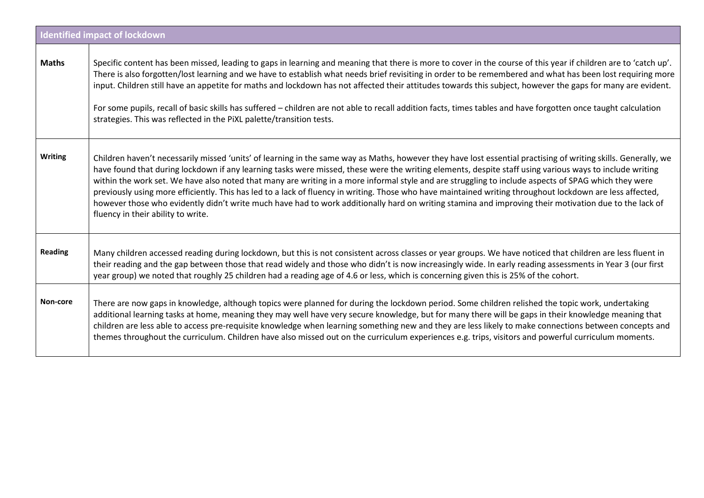|                | <b>Identified impact of lockdown</b>                                                                                                                                                                                                                                                                                                                                                                                                                                                                                                                                                                                                                                                                                                                                                                                                          |
|----------------|-----------------------------------------------------------------------------------------------------------------------------------------------------------------------------------------------------------------------------------------------------------------------------------------------------------------------------------------------------------------------------------------------------------------------------------------------------------------------------------------------------------------------------------------------------------------------------------------------------------------------------------------------------------------------------------------------------------------------------------------------------------------------------------------------------------------------------------------------|
| <b>Maths</b>   | Specific content has been missed, leading to gaps in learning and meaning that there is more to cover in the course of this year if children are to 'catch up'.<br>There is also forgotten/lost learning and we have to establish what needs brief revisiting in order to be remembered and what has been lost requiring more<br>input. Children still have an appetite for maths and lockdown has not affected their attitudes towards this subject, however the gaps for many are evident.<br>For some pupils, recall of basic skills has suffered - children are not able to recall addition facts, times tables and have forgotten once taught calculation<br>strategies. This was reflected in the PiXL palette/transition tests.                                                                                                        |
| <b>Writing</b> | Children haven't necessarily missed 'units' of learning in the same way as Maths, however they have lost essential practising of writing skills. Generally, we<br>have found that during lockdown if any learning tasks were missed, these were the writing elements, despite staff using various ways to include writing<br>within the work set. We have also noted that many are writing in a more informal style and are struggling to include aspects of SPAG which they were<br>previously using more efficiently. This has led to a lack of fluency in writing. Those who have maintained writing throughout lockdown are less affected,<br>however those who evidently didn't write much have had to work additionally hard on writing stamina and improving their motivation due to the lack of<br>fluency in their ability to write. |
| <b>Reading</b> | Many children accessed reading during lockdown, but this is not consistent across classes or year groups. We have noticed that children are less fluent in<br>their reading and the gap between those that read widely and those who didn't is now increasingly wide. In early reading assessments in Year 3 (our first<br>year group) we noted that roughly 25 children had a reading age of 4.6 or less, which is concerning given this is 25% of the cohort.                                                                                                                                                                                                                                                                                                                                                                               |
| Non-core       | There are now gaps in knowledge, although topics were planned for during the lockdown period. Some children relished the topic work, undertaking<br>additional learning tasks at home, meaning they may well have very secure knowledge, but for many there will be gaps in their knowledge meaning that<br>children are less able to access pre-requisite knowledge when learning something new and they are less likely to make connections between concepts and<br>themes throughout the curriculum. Children have also missed out on the curriculum experiences e.g. trips, visitors and powerful curriculum moments.                                                                                                                                                                                                                     |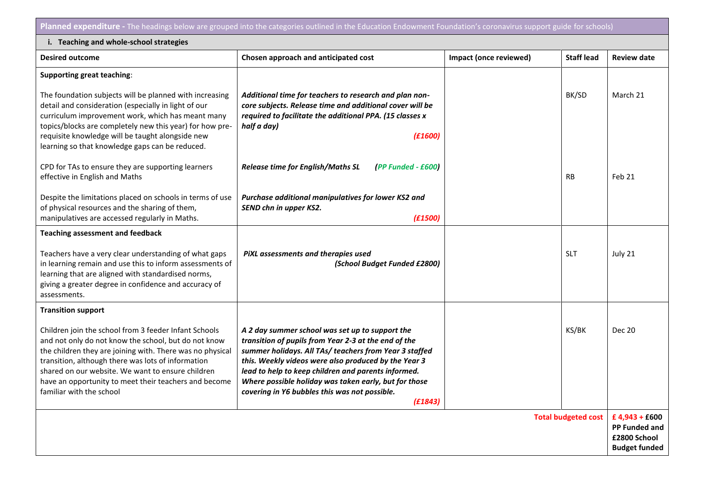Planned expenditure - The headings below are grouped into the categories outlined in the Education Endowment Foundation's coronavirus support guide for schools)

| i. Teaching and whole-school strategies                                                                                                                                                                                                                                                                                                                                    |                                                                                                                                                                                                                                                                                                                                                                                                       |                        |                            |                                                                        |  |  |
|----------------------------------------------------------------------------------------------------------------------------------------------------------------------------------------------------------------------------------------------------------------------------------------------------------------------------------------------------------------------------|-------------------------------------------------------------------------------------------------------------------------------------------------------------------------------------------------------------------------------------------------------------------------------------------------------------------------------------------------------------------------------------------------------|------------------------|----------------------------|------------------------------------------------------------------------|--|--|
| <b>Desired outcome</b>                                                                                                                                                                                                                                                                                                                                                     | Chosen approach and anticipated cost                                                                                                                                                                                                                                                                                                                                                                  | Impact (once reviewed) | <b>Staff lead</b>          | <b>Review date</b>                                                     |  |  |
| <b>Supporting great teaching:</b>                                                                                                                                                                                                                                                                                                                                          |                                                                                                                                                                                                                                                                                                                                                                                                       |                        |                            |                                                                        |  |  |
| The foundation subjects will be planned with increasing<br>detail and consideration (especially in light of our<br>curriculum improvement work, which has meant many<br>topics/blocks are completely new this year) for how pre-<br>requisite knowledge will be taught alongside new<br>learning so that knowledge gaps can be reduced.                                    | Additional time for teachers to research and plan non-<br>core subjects. Release time and additional cover will be<br>required to facilitate the additional PPA. (15 classes x<br>half a day)<br>(E1600)                                                                                                                                                                                              |                        | BK/SD                      | March 21                                                               |  |  |
| CPD for TAs to ensure they are supporting learners<br>effective in English and Maths                                                                                                                                                                                                                                                                                       | <b>Release time for English/Maths SL</b><br>(PP Funded - £600)                                                                                                                                                                                                                                                                                                                                        |                        | <b>RB</b>                  | Feb 21                                                                 |  |  |
| Despite the limitations placed on schools in terms of use<br>of physical resources and the sharing of them,<br>manipulatives are accessed regularly in Maths.                                                                                                                                                                                                              | Purchase additional manipulatives for lower KS2 and<br>SEND chn in upper KS2.<br>(E1500)                                                                                                                                                                                                                                                                                                              |                        |                            |                                                                        |  |  |
| <b>Teaching assessment and feedback</b>                                                                                                                                                                                                                                                                                                                                    |                                                                                                                                                                                                                                                                                                                                                                                                       |                        |                            |                                                                        |  |  |
| Teachers have a very clear understanding of what gaps<br>in learning remain and use this to inform assessments of<br>learning that are aligned with standardised norms,<br>giving a greater degree in confidence and accuracy of<br>assessments.                                                                                                                           | PiXL assessments and therapies used<br>(School Budget Funded £2800)                                                                                                                                                                                                                                                                                                                                   |                        | <b>SLT</b>                 | July 21                                                                |  |  |
| <b>Transition support</b>                                                                                                                                                                                                                                                                                                                                                  |                                                                                                                                                                                                                                                                                                                                                                                                       |                        |                            |                                                                        |  |  |
| Children join the school from 3 feeder Infant Schools<br>and not only do not know the school, but do not know<br>the children they are joining with. There was no physical<br>transition, although there was lots of information<br>shared on our website. We want to ensure children<br>have an opportunity to meet their teachers and become<br>familiar with the school | A 2 day summer school was set up to support the<br>transition of pupils from Year 2-3 at the end of the<br>summer holidays. All TAs/ teachers from Year 3 staffed<br>this. Weekly videos were also produced by the Year 3<br>lead to help to keep children and parents informed.<br>Where possible holiday was taken early, but for those<br>covering in Y6 bubbles this was not possible.<br>(E1843) |                        | KS/BK                      | <b>Dec 20</b>                                                          |  |  |
|                                                                                                                                                                                                                                                                                                                                                                            |                                                                                                                                                                                                                                                                                                                                                                                                       |                        | <b>Total budgeted cost</b> | £4,943 + £600<br>PP Funded and<br>£2800 School<br><b>Budget funded</b> |  |  |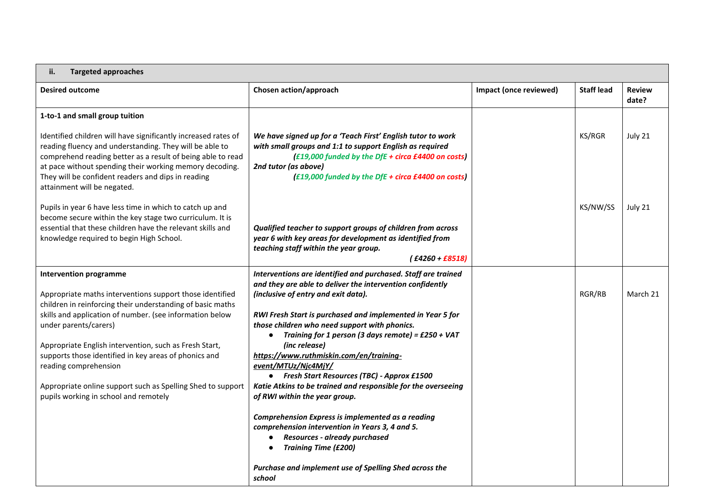| <b>Targeted approaches</b><br>ii.                                                                                                                                                                                                                                                                                                        |                                                                                                                                                                                                                                                                                      |                        |                   |                        |
|------------------------------------------------------------------------------------------------------------------------------------------------------------------------------------------------------------------------------------------------------------------------------------------------------------------------------------------|--------------------------------------------------------------------------------------------------------------------------------------------------------------------------------------------------------------------------------------------------------------------------------------|------------------------|-------------------|------------------------|
| <b>Desired outcome</b>                                                                                                                                                                                                                                                                                                                   | Chosen action/approach                                                                                                                                                                                                                                                               | Impact (once reviewed) | <b>Staff lead</b> | <b>Review</b><br>date? |
| 1-to-1 and small group tuition                                                                                                                                                                                                                                                                                                           |                                                                                                                                                                                                                                                                                      |                        |                   |                        |
| Identified children will have significantly increased rates of<br>reading fluency and understanding. They will be able to<br>comprehend reading better as a result of being able to read<br>at pace without spending their working memory decoding.<br>They will be confident readers and dips in reading<br>attainment will be negated. | We have signed up for a 'Teach First' English tutor to work<br>with small groups and 1:1 to support English as required<br>(£19,000 funded by the DfE + circa £4400 on costs)<br>2nd tutor (as above)<br>(£19,000 funded by the DfE + circa £4400 on costs)                          |                        | KS/RGR            | July 21                |
| Pupils in year 6 have less time in which to catch up and<br>become secure within the key stage two curriculum. It is<br>essential that these children have the relevant skills and<br>knowledge required to begin High School.                                                                                                           | Qualified teacher to support groups of children from across<br>year 6 with key areas for development as identified from<br>teaching staff within the year group.<br>$( f4260 + f8518 )$                                                                                              |                        | KS/NW/SS          | July 21                |
| <b>Intervention programme</b>                                                                                                                                                                                                                                                                                                            | Interventions are identified and purchased. Staff are trained                                                                                                                                                                                                                        |                        |                   |                        |
| Appropriate maths interventions support those identified<br>children in reinforcing their understanding of basic maths<br>skills and application of number. (see information below<br>under parents/carers)                                                                                                                              | and they are able to deliver the intervention confidently<br>(inclusive of entry and exit data).<br>RWI Fresh Start is purchased and implemented in Year 5 for<br>those children who need support with phonics.<br>Training for 1 person (3 days remote) = $£250 + VAT$<br>$\bullet$ |                        | RGR/RB            | March 21               |
| Appropriate English intervention, such as Fresh Start,<br>supports those identified in key areas of phonics and                                                                                                                                                                                                                          | (inc release)<br>https://www.ruthmiskin.com/en/training-                                                                                                                                                                                                                             |                        |                   |                        |
| reading comprehension                                                                                                                                                                                                                                                                                                                    | event/MTUz/Njc4MjY/<br>• Fresh Start Resources (TBC) - Approx £1500                                                                                                                                                                                                                  |                        |                   |                        |
| Appropriate online support such as Spelling Shed to support<br>pupils working in school and remotely                                                                                                                                                                                                                                     | Katie Atkins to be trained and responsible for the overseeing<br>of RWI within the year group.                                                                                                                                                                                       |                        |                   |                        |
|                                                                                                                                                                                                                                                                                                                                          | Comprehension Express is implemented as a reading<br>comprehension intervention in Years 3, 4 and 5.<br>Resources - already purchased<br><b>Training Time (£200)</b>                                                                                                                 |                        |                   |                        |
|                                                                                                                                                                                                                                                                                                                                          | Purchase and implement use of Spelling Shed across the<br>school                                                                                                                                                                                                                     |                        |                   |                        |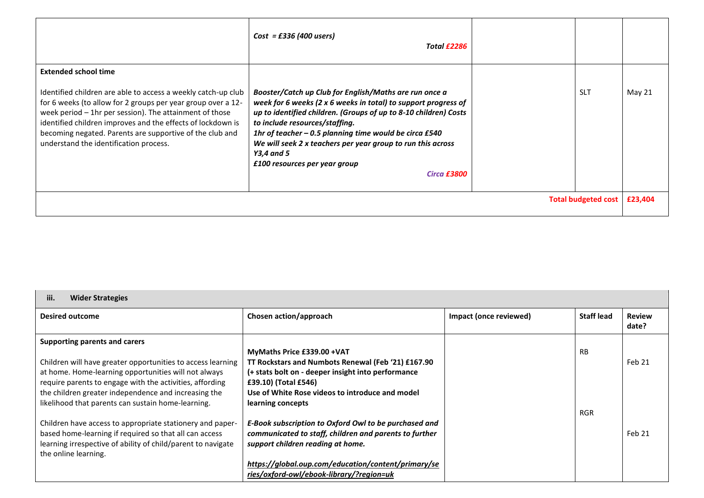|                                                                                                                                                                                                                                                                                                                                                                                              | $Cost = £336 (400$ users)<br>Total £2286                                                                                                                                                                                                                                                                                                                                                                               |  |            |         |
|----------------------------------------------------------------------------------------------------------------------------------------------------------------------------------------------------------------------------------------------------------------------------------------------------------------------------------------------------------------------------------------------|------------------------------------------------------------------------------------------------------------------------------------------------------------------------------------------------------------------------------------------------------------------------------------------------------------------------------------------------------------------------------------------------------------------------|--|------------|---------|
| <b>Extended school time</b><br>Identified children are able to access a weekly catch-up club<br>for 6 weeks (to allow for 2 groups per year group over a 12-<br>week period - 1hr per session). The attainment of those<br>identified children improves and the effects of lockdown is<br>becoming negated. Parents are supportive of the club and<br>understand the identification process. | Booster/Catch up Club for English/Maths are run once a<br>week for 6 weeks (2 x 6 weeks in total) to support progress of<br>up to identified children. (Groups of up to 8-10 children) Costs<br>to include resources/staffing.<br>1hr of teacher $-0.5$ planning time would be circa £540<br>We will seek 2 x teachers per year group to run this across<br>Y3,4 and 5<br>£100 resources per year group<br>Circa £3800 |  | <b>SLT</b> | May 21  |
| <b>Total budgeted cost</b>                                                                                                                                                                                                                                                                                                                                                                   |                                                                                                                                                                                                                                                                                                                                                                                                                        |  |            | £23,404 |

| iii.<br><b>Wider Strategies</b>                                                                                                                                                                                  |                                                                                                                                                                                                |                        |                   |                        |
|------------------------------------------------------------------------------------------------------------------------------------------------------------------------------------------------------------------|------------------------------------------------------------------------------------------------------------------------------------------------------------------------------------------------|------------------------|-------------------|------------------------|
| <b>Desired outcome</b>                                                                                                                                                                                           | Chosen action/approach                                                                                                                                                                         | Impact (once reviewed) | <b>Staff lead</b> | <b>Review</b><br>date? |
| Supporting parents and carers<br>Children will have greater opportunities to access learning<br>at home. Home-learning opportunities will not always<br>require parents to engage with the activities, affording | MyMaths Price £339.00 +VAT<br>TT Rockstars and Numbots Renewal (Feb '21) £167.90<br>(+ stats bolt on - deeper insight into performance<br>£39.10) (Total £546)                                 |                        | <b>RB</b>         | Feb 21                 |
| the children greater independence and increasing the<br>likelihood that parents can sustain home-learning.<br>Children have access to appropriate stationery and paper-                                          | Use of White Rose videos to introduce and model<br>learning concepts<br>E-Book subscription to Oxford Owl to be purchased and                                                                  |                        | <b>RGR</b>        |                        |
| based home-learning if required so that all can access<br>learning irrespective of ability of child/parent to navigate<br>the online learning.                                                                   | communicated to staff, children and parents to further<br>support children reading at home.<br>https://global.oup.com/education/content/primary/se<br>ries/oxford-owl/ebook-library/?region=uk |                        |                   | Feb 21                 |